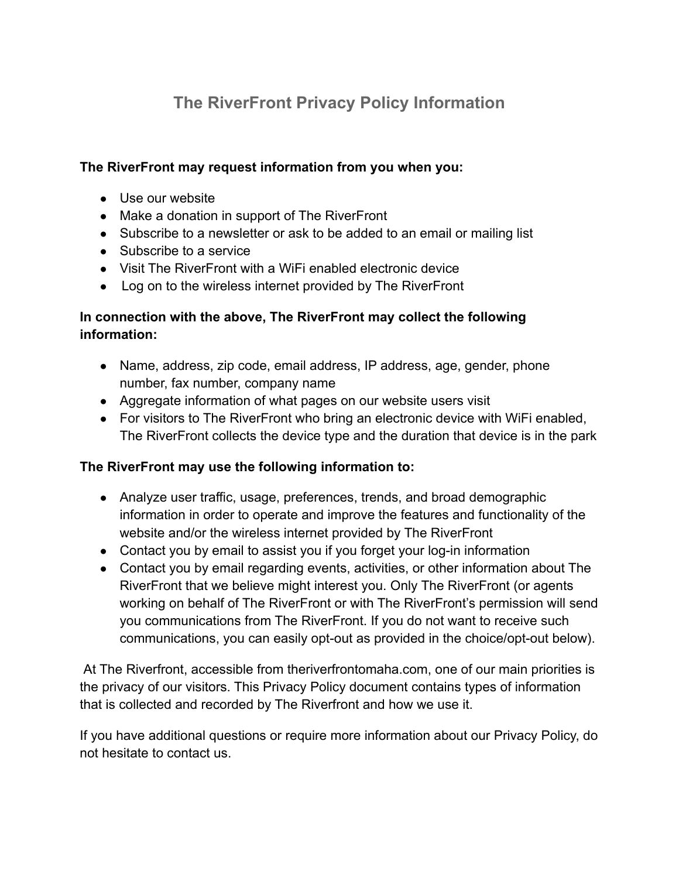# **The RiverFront Privacy Policy Information**

## **The RiverFront may request information from you when you:**

- Use our website
- Make a donation in support of The RiverFront
- Subscribe to a newsletter or ask to be added to an email or mailing list
- Subscribe to a service
- Visit The RiverFront with a WiFi enabled electronic device
- Log on to the wireless internet provided by The RiverFront

## **In connection with the above, The RiverFront may collect the following information:**

- Name, address, zip code, email address, IP address, age, gender, phone number, fax number, company name
- Aggregate information of what pages on our website users visit
- For visitors to The RiverFront who bring an electronic device with WiFi enabled, The RiverFront collects the device type and the duration that device is in the park

## **The RiverFront may use the following information to:**

- Analyze user traffic, usage, preferences, trends, and broad demographic information in order to operate and improve the features and functionality of the website and/or the wireless internet provided by The RiverFront
- Contact you by email to assist you if you forget your log-in information
- Contact you by email regarding events, activities, or other information about The RiverFront that we believe might interest you. Only The RiverFront (or agents working on behalf of The RiverFront or with The RiverFront's permission will send you communications from The RiverFront. If you do not want to receive such communications, you can easily opt-out as provided in the choice/opt-out below).

At The Riverfront, accessible from theriverfrontomaha.com, one of our main priorities is the privacy of our visitors. This Privacy Policy document contains types of information that is collected and recorded by The Riverfront and how we use it.

If you have additional questions or require more information about our Privacy Policy, do not hesitate to contact us.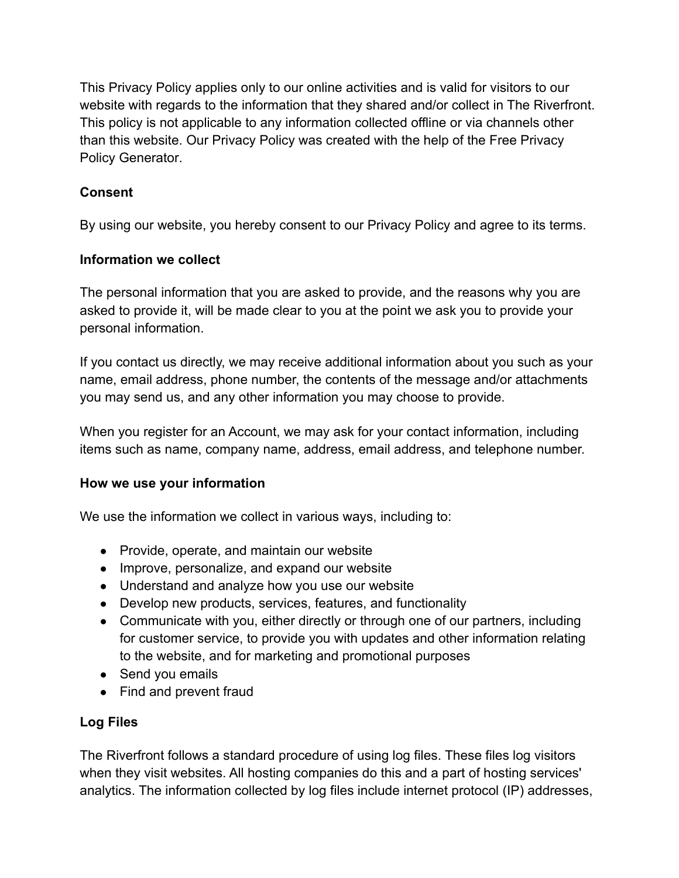This Privacy Policy applies only to our online activities and is valid for visitors to our website with regards to the information that they shared and/or collect in The Riverfront. This policy is not applicable to any information collected offline or via channels other than this website. Our Privacy Policy was created with the help of the [Free Privacy](https://www.termsfeed.com/privacy-policy-generator/) [Policy Generator](https://www.termsfeed.com/privacy-policy-generator/).

## **Consent**

By using our website, you hereby consent to our Privacy Policy and agree to its terms.

## **Information we collect**

The personal information that you are asked to provide, and the reasons why you are asked to provide it, will be made clear to you at the point we ask you to provide your personal information.

If you contact us directly, we may receive additional information about you such as your name, email address, phone number, the contents of the message and/or attachments you may send us, and any other information you may choose to provide.

When you register for an Account, we may ask for your contact information, including items such as name, company name, address, email address, and telephone number.

## **How we use your information**

We use the information we collect in various ways, including to:

- Provide, operate, and maintain our website
- Improve, personalize, and expand our website
- Understand and analyze how you use our website
- Develop new products, services, features, and functionality
- Communicate with you, either directly or through one of our partners, including for customer service, to provide you with updates and other information relating to the website, and for marketing and promotional purposes
- Send you emails
- Find and prevent fraud

## **Log Files**

The Riverfront follows a standard procedure of using log files. These files log visitors when they visit websites. All hosting companies do this and a part of hosting services' analytics. The information collected by log files include internet protocol (IP) addresses,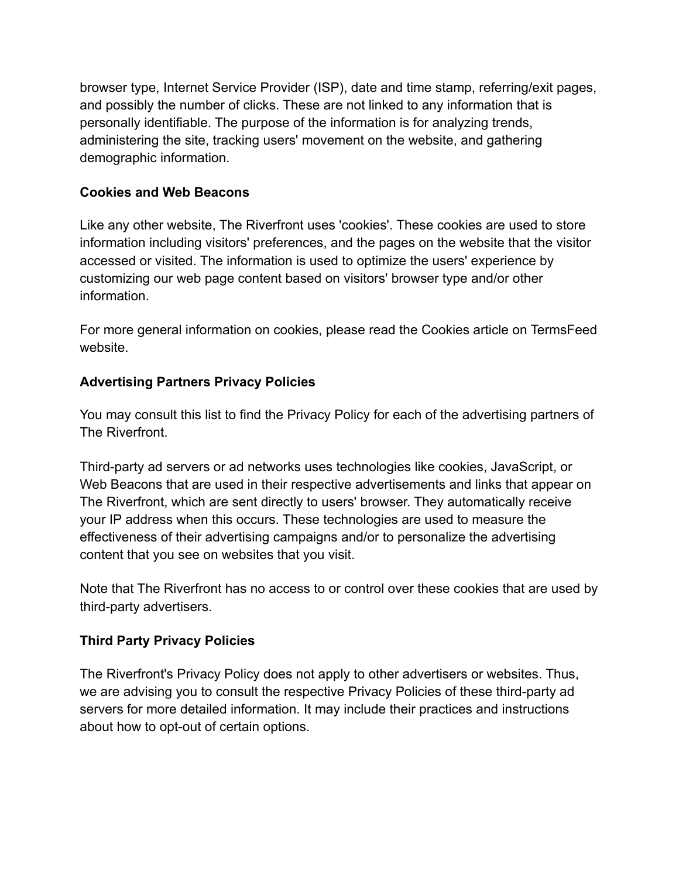browser type, Internet Service Provider (ISP), date and time stamp, referring/exit pages, and possibly the number of clicks. These are not linked to any information that is personally identifiable. The purpose of the information is for analyzing trends, administering the site, tracking users' movement on the website, and gathering demographic information.

## **Cookies and Web Beacons**

Like any other website, The Riverfront uses 'cookies'. These cookies are used to store information including visitors' preferences, and the pages on the website that the visitor accessed or visited. The information is used to optimize the users' experience by customizing our web page content based on visitors' browser type and/or other information.

For more general information on cookies, please read [the Cookies article on TermsFeed](https://www.termsfeed.com/blog/sample-cookies-policy-template/#What_Are_Cookies) [website.](https://www.termsfeed.com/blog/sample-cookies-policy-template/#What_Are_Cookies)

# **Advertising Partners Privacy Policies**

You may consult this list to find the Privacy Policy for each of the advertising partners of The Riverfront.

Third-party ad servers or ad networks uses technologies like cookies, JavaScript, or Web Beacons that are used in their respective advertisements and links that appear on The Riverfront, which are sent directly to users' browser. They automatically receive your IP address when this occurs. These technologies are used to measure the effectiveness of their advertising campaigns and/or to personalize the advertising content that you see on websites that you visit.

Note that The Riverfront has no access to or control over these cookies that are used by third-party advertisers.

# **Third Party Privacy Policies**

The Riverfront's Privacy Policy does not apply to other advertisers or websites. Thus, we are advising you to consult the respective Privacy Policies of these third-party ad servers for more detailed information. It may include their practices and instructions about how to opt-out of certain options.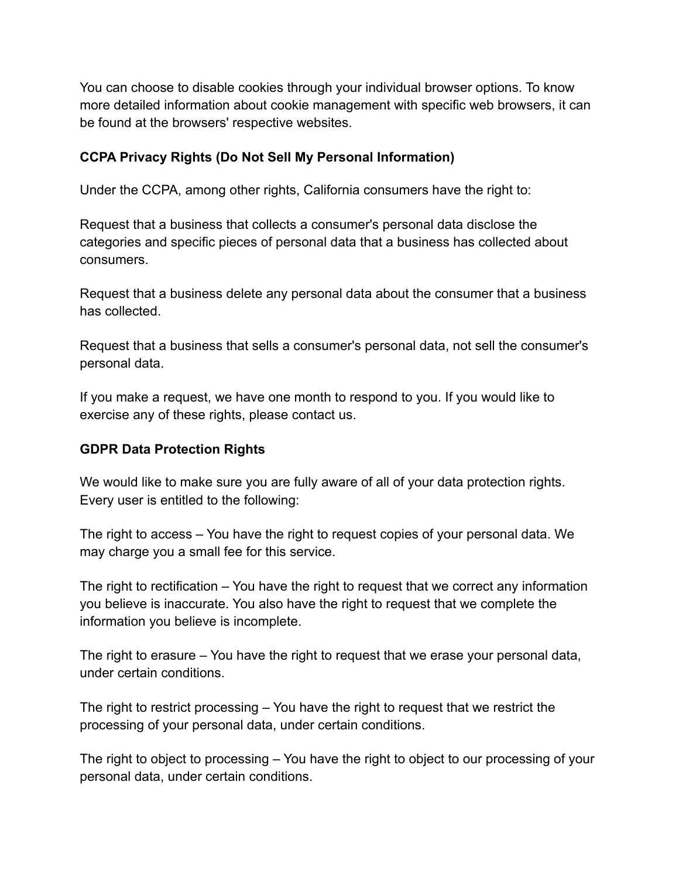You can choose to disable cookies through your individual browser options. To know more detailed information about cookie management with specific web browsers, it can be found at the browsers' respective websites.

#### **CCPA Privacy Rights (Do Not Sell My Personal Information)**

Under the CCPA, among other rights, California consumers have the right to:

Request that a business that collects a consumer's personal data disclose the categories and specific pieces of personal data that a business has collected about consumers.

Request that a business delete any personal data about the consumer that a business has collected.

Request that a business that sells a consumer's personal data, not sell the consumer's personal data.

If you make a request, we have one month to respond to you. If you would like to exercise any of these rights, please contact us.

#### **GDPR Data Protection Rights**

We would like to make sure you are fully aware of all of your data protection rights. Every user is entitled to the following:

The right to access – You have the right to request copies of your personal data. We may charge you a small fee for this service.

The right to rectification – You have the right to request that we correct any information you believe is inaccurate. You also have the right to request that we complete the information you believe is incomplete.

The right to erasure – You have the right to request that we erase your personal data, under certain conditions.

The right to restrict processing – You have the right to request that we restrict the processing of your personal data, under certain conditions.

The right to object to processing – You have the right to object to our processing of your personal data, under certain conditions.